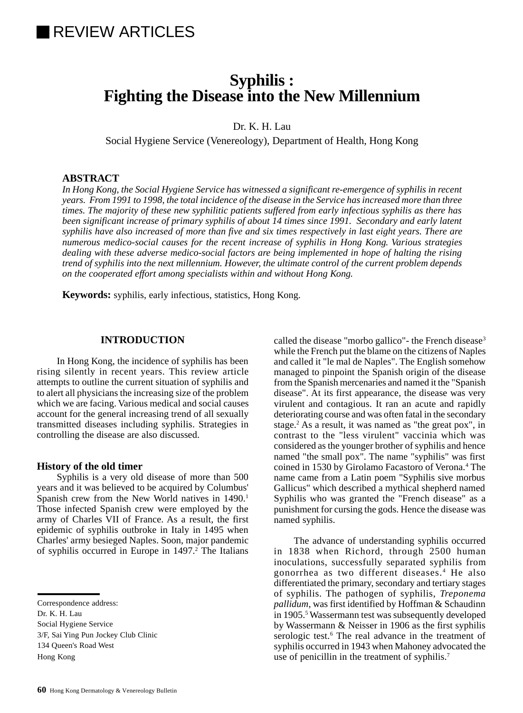# REVIEW ARTICLES

# **Syphilis : Fighting the Disease into the New Millennium**

Dr. K. H. Lau

Social Hygiene Service (Venereology), Department of Health, Hong Kong

# **ABSTRACT**

*In Hong Kong, the Social Hygiene Service has witnessed a significant re-emergence of syphilis in recent years. From 1991 to 1998, the total incidence of the disease in the Service has increased more than three times. The majority of these new syphilitic patients suffered from early infectious syphilis as there has been significant increase of primary syphilis of about 14 times since 1991. Secondary and early latent syphilis have also increased of more than five and six times respectively in last eight years. There are numerous medico-social causes for the recent increase of syphilis in Hong Kong. Various strategies dealing with these adverse medico-social factors are being implemented in hope of halting the rising trend of syphilis into the next millennium. However, the ultimate control of the current problem depends on the cooperated effort among specialists within and without Hong Kong.*

**Keywords:** syphilis, early infectious, statistics, Hong Kong.

## **INTRODUCTION**

In Hong Kong, the incidence of syphilis has been rising silently in recent years. This review article attempts to outline the current situation of syphilis and to alert all physicians the increasing size of the problem which we are facing. Various medical and social causes account for the general increasing trend of all sexually transmitted diseases including syphilis. Strategies in controlling the disease are also discussed.

### **History of the old timer**

Syphilis is a very old disease of more than 500 years and it was believed to be acquired by Columbus' Spanish crew from the New World natives in 1490.<sup>1</sup> Those infected Spanish crew were employed by the army of Charles VII of France. As a result, the first epidemic of syphilis outbroke in Italy in 1495 when Charles' army besieged Naples. Soon, major pandemic of syphilis occurred in Europe in 1497.<sup>2</sup> The Italians

called the disease "morbo gallico"- the French disease  $3<sup>3</sup>$ while the French put the blame on the citizens of Naples and called it "le mal de Naples". The English somehow managed to pinpoint the Spanish origin of the disease from the Spanish mercenaries and named it the "Spanish disease". At its first appearance, the disease was very virulent and contagious. It ran an acute and rapidly deteriorating course and was often fatal in the secondary stage.<sup>2</sup> As a result, it was named as "the great pox", in contrast to the "less virulent" vaccinia which was considered as the younger brother of syphilis and hence named "the small pox". The name "syphilis" was first coined in 1530 by Girolamo Facastoro of Verona.<sup>4</sup> The name came from a Latin poem "Syphilis sive morbus Gallicus" which described a mythical shepherd named Syphilis who was granted the "French disease" as a punishment for cursing the gods. Hence the disease was named syphilis.

The advance of understanding syphilis occurred in 1838 when Richord, through 2500 human inoculations, successfully separated syphilis from gonorrhea as two different diseases.4 He also differentiated the primary, secondary and tertiary stages of syphilis. The pathogen of syphilis, *Treponema pallidum*, was first identified by Hoffman & Schaudinn in 1905.<sup>5</sup> Wassermann test was subsequently developed by Wassermann & Neisser in 1906 as the first syphilis serologic test.<sup>6</sup> The real advance in the treatment of syphilis occurred in 1943 when Mahoney advocated the use of penicillin in the treatment of syphilis.<sup>7</sup>

Correspondence address:

Dr. K. H. Lau

Social Hygiene Service

<sup>3/</sup>F, Sai Ying Pun Jockey Club Clinic

<sup>134</sup> Queen's Road West

Hong Kong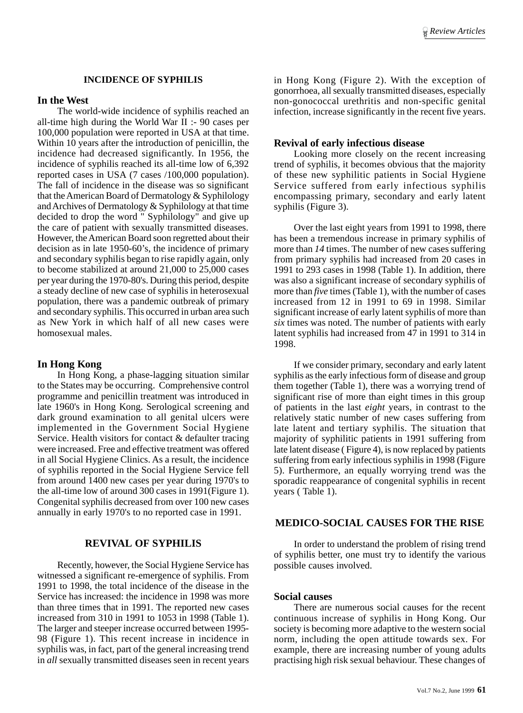### **INCIDENCE OF SYPHILIS**

## **In the West**

The world-wide incidence of syphilis reached an all-time high during the World War II :- 90 cases per 100,000 population were reported in USA at that time. Within 10 years after the introduction of penicillin, the incidence had decreased significantly. In 1956, the incidence of syphilis reached its all-time low of 6,392 reported cases in USA (7 cases /100,000 population). The fall of incidence in the disease was so significant that the American Board of Dermatology & Syphilology and Archives of Dermatology & Syphilology at that time decided to drop the word " Syphilology" and give up the care of patient with sexually transmitted diseases. However, the American Board soon regretted about their decision as in late 1950-60's, the incidence of primary and secondary syphilis began to rise rapidly again, only to become stabilized at around 21,000 to 25,000 cases per year during the 1970-80's. During this period, despite a steady decline of new case of syphilis in heterosexual population, there was a pandemic outbreak of primary and secondary syphilis. This occurred in urban area such as New York in which half of all new cases were homosexual males.

# **In Hong Kong**

In Hong Kong, a phase-lagging situation similar to the States may be occurring. Comprehensive control programme and penicillin treatment was introduced in late 1960's in Hong Kong. Serological screening and dark ground examination to all genital ulcers were implemented in the Government Social Hygiene Service. Health visitors for contact & defaulter tracing were increased. Free and effective treatment was offered in all Social Hygiene Clinics. As a result, the incidence of syphilis reported in the Social Hygiene Service fell from around 1400 new cases per year during 1970's to the all-time low of around 300 cases in 1991(Figure 1). Congenital syphilis decreased from over 100 new cases annually in early 1970's to no reported case in 1991.

### **REVIVAL OF SYPHILIS**

Recently, however, the Social Hygiene Service has witnessed a significant re-emergence of syphilis. From 1991 to 1998, the total incidence of the disease in the Service has increased: the incidence in 1998 was more than three times that in 1991. The reported new cases increased from 310 in 1991 to 1053 in 1998 (Table 1). The larger and steeper increase occurred between 1995- 98 (Figure 1). This recent increase in incidence in syphilis was, in fact, part of the general increasing trend in *all* sexually transmitted diseases seen in recent years

in Hong Kong (Figure 2). With the exception of gonorrhoea, all sexually transmitted diseases, especially non-gonococcal urethritis and non-specific genital infection, increase significantly in the recent five years.

# **Revival of early infectious disease**

Looking more closely on the recent increasing trend of syphilis, it becomes obvious that the majority of these new syphilitic patients in Social Hygiene Service suffered from early infectious syphilis encompassing primary, secondary and early latent syphilis (Figure 3).

Over the last eight years from 1991 to 1998, there has been a tremendous increase in primary syphilis of more than *14* times. The number of new cases suffering from primary syphilis had increased from 20 cases in 1991 to 293 cases in 1998 (Table 1). In addition, there was also a significant increase of secondary syphilis of more than *five* times (Table 1), with the number of cases increased from 12 in 1991 to 69 in 1998. Similar significant increase of early latent syphilis of more than *six* times was noted. The number of patients with early latent syphilis had increased from 47 in 1991 to 314 in 1998.

If we consider primary, secondary and early latent syphilis as the early infectious form of disease and group them together (Table 1), there was a worrying trend of significant rise of more than eight times in this group of patients in the last *eight* years, in contrast to the relatively static number of new cases suffering from late latent and tertiary syphilis. The situation that majority of syphilitic patients in 1991 suffering from late latent disease ( Figure 4), is now replaced by patients suffering from early infectious syphilis in 1998 (Figure 5). Furthermore, an equally worrying trend was the sporadic reappearance of congenital syphilis in recent years ( Table 1).

### **MEDICO-SOCIAL CAUSES FOR THE RISE**

In order to understand the problem of rising trend of syphilis better, one must try to identify the various possible causes involved.

# **Social causes**

There are numerous social causes for the recent continuous increase of syphilis in Hong Kong. Our society is becoming more adaptive to the western social norm, including the open attitude towards sex. For example, there are increasing number of young adults practising high risk sexual behaviour. These changes of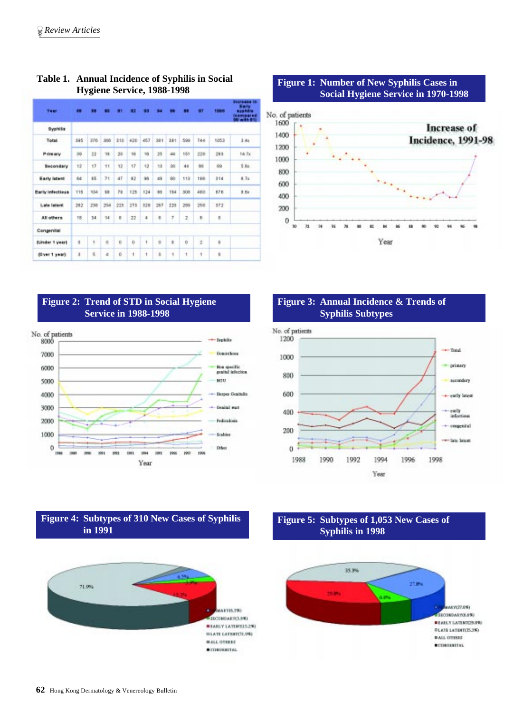# **Table 1. Annual Incidence of Syphilis in Social**

| Teer                    | 68      |     |     |     | 82        | 83  | 34            |     | œ   | $\blacksquare$ | 1966         | <b>INCORAGE IN</b><br><b>Safe</b><br><b>Kyphilie</b><br><b><i><u>Coempared</u></i></b><br><b>BRIGHTHE BREE</b> |
|-------------------------|---------|-----|-----|-----|-----------|-----|---------------|-----|-----|----------------|--------------|----------------------------------------------------------------------------------------------------------------|
| Syphilis                |         |     |     |     |           |     |               |     |     |                |              |                                                                                                                |
| Total                   | 385     | 376 | 355 | 310 | 420       | 453 | 361           | 381 | 599 | <b>T44</b>     | 1053         | 3.4                                                                                                            |
| Printery.               | 棹       | 22  | 18  | 20  | 16        | 18  | 25            | 44  | 161 | 228            | 293          | 14.7x                                                                                                          |
| Secondary               | 12      | 17  | 11  | 13  | 17        | 13  | 13            | 30  | 44  | 65             | 69           | S.Ru                                                                                                           |
| <b>Harly latent</b>     | 6£      | is. | 31  | 47  | 92        | w   | di            | śò. | 118 | 188            | --<br>314    | 6.7u                                                                                                           |
| <b>Barly Infectious</b> | 115     | TOA | \$8 | h)  | 129       | 124 | 88            | 154 | 308 | 480            | 676          | 8.6e -                                                                                                         |
| Late laters             | 382     | 288 | 254 | 223 | 213       | 材料  | 283           | 229 | 289 | 258            | 372          |                                                                                                                |
| All others              | 18.     | 34  | 14  | ĸ   | 22        | 4   | 8             | 7   | 2   | в              | 61           |                                                                                                                |
| Congenital              |         |     |     |     |           |     |               |     |     |                |              |                                                                                                                |
| <b>Sinder 1 years</b>   | $\rm 1$ | t   | ü   | ŋ.  | $\bar{D}$ | t   | Ü             | ı   | ń   | $\pm$          | s.<br>÷      |                                                                                                                |
| (O ver 1 year)          | ä       | 5   | a.  | Ŭ   | 1         | 1   | $\frac{1}{2}$ | 1   | t.  | 1              | $\mathbb{R}$ |                                                                                                                |

# **Hygiene Service, 1988-1998 Figure 1: Number of New Syphilis Cases in Social Hygiene Service in 1970-1998**



# **Figure 2: Trend of STD in Social Hygiene Service in 1988-1998**



# **Figure 3: Annual Incidence & Trends of Syphilis Subtypes**



# **Figure 4: Subtypes of 310 New Cases of Syphilis in 1991**



# **Figure 5: Subtypes of 1,053 New Cases of Syphilis in 1998**

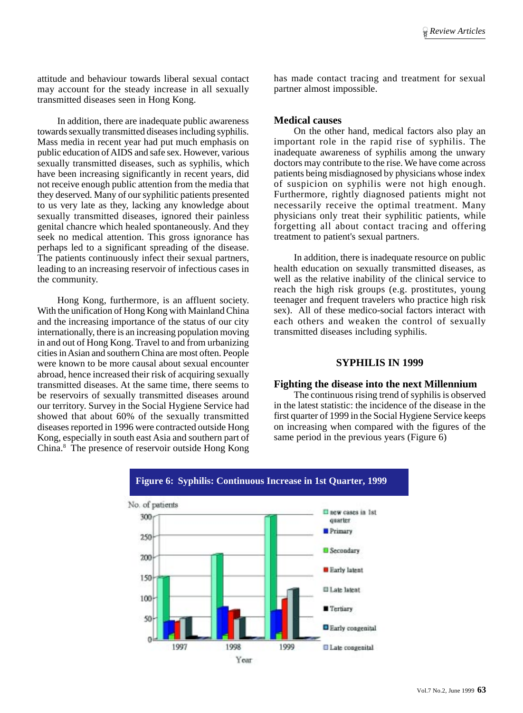attitude and behaviour towards liberal sexual contact may account for the steady increase in all sexually transmitted diseases seen in Hong Kong.

In addition, there are inadequate public awareness towards sexually transmitted diseases including syphilis. Mass media in recent year had put much emphasis on public education of AIDS and safe sex. However, various sexually transmitted diseases, such as syphilis, which have been increasing significantly in recent years, did not receive enough public attention from the media that they deserved. Many of our syphilitic patients presented to us very late as they, lacking any knowledge about sexually transmitted diseases, ignored their painless genital chancre which healed spontaneously. And they seek no medical attention. This gross ignorance has perhaps led to a significant spreading of the disease. The patients continuously infect their sexual partners, leading to an increasing reservoir of infectious cases in the community.

Hong Kong, furthermore, is an affluent society. With the unification of Hong Kong with Mainland China and the increasing importance of the status of our city internationally, there is an increasing population moving in and out of Hong Kong. Travel to and from urbanizing cities in Asian and southern China are most often. People were known to be more causal about sexual encounter abroad, hence increased their risk of acquiring sexually transmitted diseases. At the same time, there seems to be reservoirs of sexually transmitted diseases around our territory. Survey in the Social Hygiene Service had showed that about 60% of the sexually transmitted diseases reported in 1996 were contracted outside Hong Kong, especially in south east Asia and southern part of China.8 The presence of reservoir outside Hong Kong

has made contact tracing and treatment for sexual partner almost impossible.

## **Medical causes**

On the other hand, medical factors also play an important role in the rapid rise of syphilis. The inadequate awareness of syphilis among the unwary doctors may contribute to the rise. We have come across patients being misdiagnosed by physicians whose index of suspicion on syphilis were not high enough. Furthermore, rightly diagnosed patients might not necessarily receive the optimal treatment. Many physicians only treat their syphilitic patients, while forgetting all about contact tracing and offering treatment to patient's sexual partners.

In addition, there is inadequate resource on public health education on sexually transmitted diseases, as well as the relative inability of the clinical service to reach the high risk groups (e.g. prostitutes, young teenager and frequent travelers who practice high risk sex). All of these medico-social factors interact with each others and weaken the control of sexually transmitted diseases including syphilis.

## **SYPHILIS IN 1999**

#### **Fighting the disease into the next Millennium**

The continuous rising trend of syphilis is observed in the latest statistic: the incidence of the disease in the first quarter of 1999 in the Social Hygiene Service keeps on increasing when compared with the figures of the same period in the previous years (Figure 6)